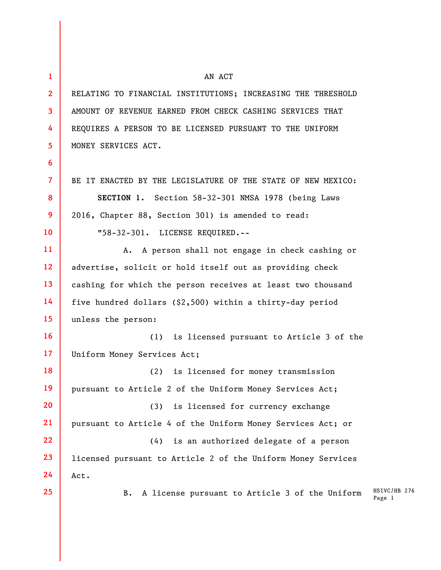**1 2 3 4 5 6 7 8 9 10 11 12 13 14 15 16 17 18 19 20 21 22 23 24 25**  AN ACT RELATING TO FINANCIAL INSTITUTIONS; INCREASING THE THRESHOLD AMOUNT OF REVENUE EARNED FROM CHECK CASHING SERVICES THAT REQUIRES A PERSON TO BE LICENSED PURSUANT TO THE UNIFORM MONEY SERVICES ACT. BE IT ENACTED BY THE LEGISLATURE OF THE STATE OF NEW MEXICO: **SECTION 1.** Section 58-32-301 NMSA 1978 (being Laws 2016, Chapter 88, Section 301) is amended to read: "58-32-301. LICENSE REQUIRED.-- A. A person shall not engage in check cashing or advertise, solicit or hold itself out as providing check cashing for which the person receives at least two thousand five hundred dollars (\$2,500) within a thirty-day period unless the person: (1) is licensed pursuant to Article 3 of the Uniform Money Services Act; (2) is licensed for money transmission pursuant to Article 2 of the Uniform Money Services Act; (3) is licensed for currency exchange pursuant to Article 4 of the Uniform Money Services Act; or (4) is an authorized delegate of a person licensed pursuant to Article 2 of the Uniform Money Services Act. B. A license pursuant to Article 3 of the Uniform

HSIVC/HB 276 Page 1